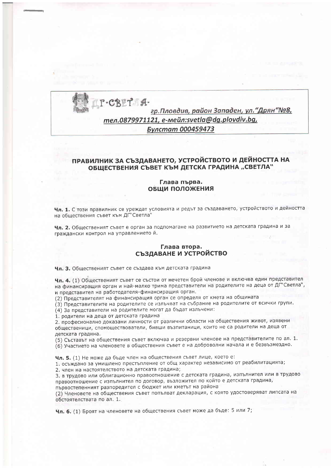P-CBET Aгр. Пловдив, район Западен, ул. "Дрян "№8, тел.0879971121, e-мейл:svetla@dg.plovdiv.bg, Булстат 000459473

# ПРАВИЛНИК ЗА СЪЗДАВАНЕТО, УСТРОЙСТВОТО И ДЕЙНОСТТА НА ОБЩЕСТВЕНИЯ СЪВЕТ КЪМ ДЕТСКА ГРАДИНА "СВЕТЛА"

## Глава първа. ОБЩИ ПОЛОЖЕНИЯ

Чл. 1. С този правилник се уреждат условията и редът за създаването, устройството и дейността на обществения съвет към ДГ"Светла"

Чл. 2. Общественият съвет е орган за подпомагане на развитието на детската градина и за граждански контрол на управлението й.

## Глава втора. СЪЗДАВАНЕ И УСТРОЙСТВО

Чл. 3. Общественият съвет се създава към детската градина

Чл. 4. (1) Общественият съвет се състои от нечетен брой членове и включва един представител на финансиращия орган и най-малко трима представители на родителите на деца от ДГ"Светла", и представител на работодателя-финансиращия орган.

(2) Представителят на финансиращия орган се определя от кмета на общината

(3) Представителите на родителите се излъчват на събрание на родителите от всички групи.

(4) За представители на родителите могат да бъдат излъчени:

1. родители на деца от детската градина

2. професионално доказани личности от различни области на обществения живот, изявени общественици, спомоществователи, бивши възпитаници, които не са родители на деца от детската градина.

(5) Съставът на обществения съвет включва и резервни членове на представителите по ал. 1.

(6) Участието на членовете в обществения съвет е на доброволни начала и е безвъзмездно.

Чл. 5. (1) Не може да бъде член на обществения съвет лице, което е:

1. осъждано за умишлено престъпление от общ характер независимо от реабилитацията; 2. член на настоятелството на детската градина;

3. в трудово или облигационно правоотношение с детската градина, изпълнител или в трудово правоотношение с изпълнител по договор, възложител по който е детската градина, първостепенният разпоредител с бюджет или кметът на района

(2) Членовете на обществения съвет попълват декларация, с която удостоверяват липсата на обстоятелствата по ал. 1.

Чл. 6. (1) Броят на членовете на обществения съвет може да бъде: 5 или 7;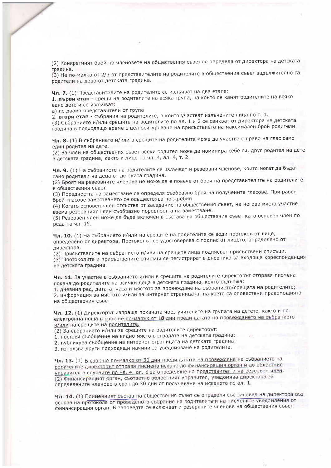(2) Конкретният брой на членовете на обществения съвет се определя от директора на детската градина.

(3) Не по-малко от 2/3 от представителите на родителите в обществения съвет задължително са родители на деца от детската градина.

Чл. 7. (1) Представителите на родителите се излъчват на два етапа:

1. първи етап - срещи на родителите на всяка група, на които се канят родителите на всяко едно дете и се излъчват:

а) по двама представители от група

2. втори етап - събрания на родителите, в които участват излъчените лица по т. 1.

(3) Събранието и/или срещите на родителите по ал. 1 и 2 се свикват от директора на детската градина в подходящо време с цел осигуряване на присъствието на максимален брой родители.

Чл. 8. (1) В събранието и/или в срещите на родителите може да участва с право на глас само един родител на дете.

(2) За член на обществения съвет всеки родител може да номинира себе си, друг родител на дете в детската градина, както и лице по чл. 4, ал. 4, т. 2.

Чл. 9. (1) На събранието на родителите се излъчват и резервни членове, които могат да бъдат само родители на деца от детската градина.

(2) Броят на резервните членове не може да е повече от броя на представителите на родителите в обществения съвет.

(3) Поредността на заместване се определя съобразно броя на получените гласове. При равен брой гласове заместването се осъществява по жребий.

(4) Когато основен член отсъства от заседание на обществения съвет, на негово място участие взема резервният член съобразно поредността на заместване.

(5) Резервен член може да бъде включен в състава на обществения съвет като основен член по реда на чл. 15.

Чл. 10. (1) На събранието и/или на срещите на родителите се води протокол от лице, определено от директора. Протоколът се удостоверява с подпис от лицето, определено от директора.

(2) Присъствалите на събранието и/или на срещите лица подписват присъствени списъци.

(3) Протоколите и присъствените списъци се регистрират в дневника за входяща кореспонденция на детската градина.

Чл. 11. За участие в събранието и/или в срещите на родителите директорът отправя писмена покана до родителите на всички деца в детската градина, която съдържа:

1. дневния ред, датата, часа и мястото за провеждане на събранието/срещата на родителите; 2. информация за мястото и/или за интернет страницата, на което са оповестени правомощията на обществения съвет.

Чл. 12. (1) Директорът изпраща поканата чрез учителите на групата на детето, както и по електронна поща в срок не по-малък от 10 дни преди датата на провеждането на събранието и/или на срещите на родителите.

(2) За събранието и/или за срещите на родителите директорът:

1. поставя съобщение на видно място в сградата на детската градина;

2. публикува съобщение на интернет страницата на детската градина;

3. използва други подходящи начини за уведомяване на родителите.

Чл. 13. (1) В срок не по-малко от 30 дни преди датата на провеждане на събранието на родителите директорът отправя писмено искане до финансиращия орган и до областния управител в случаите по чл. 4, ал. 5 за определяне на представител и на резервен член. (2) Финансиращият орган, съответно областният управител, уведомява директора за определените членове в срок до 30 дни от получаване на искането по ал. 1.

Чл. 14. (1) Поименният състав на обществения съвет се определя със заповед на директора въз основа на протокола от проведеното събрание на родителите и на писмените уведомления от финансиращия орган. В заповедта се включват и резервните членове на обществения съвет.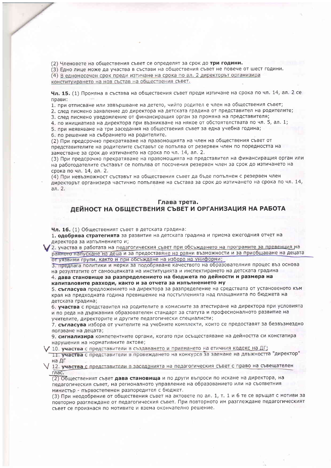(2) Членовете на обществения съвет се определят за срок до три години.

(3) Едно лице може да участва в състави на обществения съвет не повече от шест години.

(4) В едномесечен срок преди изтичане на срока по ал. 2 директорът организира

конституирането на нов състав на обществения съвет.

Чл. 15. (1) Промяна в състава на обществения съвет преди изтичане на срока по чл. 14, ал. 2 се прави:

1. при отписване или завършване на детето, чийто родител е член на обществения съвет;

2. след писмено заявление до директора на детската градина от представител на родителите;

3. след писмено уведомление от финансиращия орган за промяна на представителя;

4. по инициатива на директора при възникване на някое от обстоятелствата по чл. 5, ал. 1;

5. при неявяване на три заседания на обществения съвет за една учебна година; 6. по решение на събранието на родителите.

(2) При предсрочно прекратяване на правомощията на член на обществения съвет от представителите на родителите съставът се попълва от резервен член по поредността на заместване за срок до изтичането на срока по чл. 14, ал. 2.

(3) При предсрочно прекратяване на правомощията на представител на финансиращия орган или на работодателите съставът се попълва от посочения резервен член за срок до изтичането на срока по чл. 14, ал. 2.

(4) При невъзможност съставът на обществения съвет да бъде попълнен с резервен член директорът организира частично попълване на състава за срок до изтичането на срока по чл. 14, ал. 2.

#### Глава трета.

# ДЕЙНОСТ НА ОБЩЕСТВЕНИЯ СЪВЕТ И ОРГАНИЗАЦИЯ НА РАБОТА

Чл. 16. (1) Общественият съвет в детската градина:

1. одобрява стратегията за развитие на детската градина и приема ежегодния отчет на директора за изпълнението и;

2. участва в работата на педагогическия съвет при обсъждането на програмите за превенция на ранното напускане на деца и за предоставяне на равни възможности и за приобщаване на децата от уязвими групи, както и при обсъждане на избора на униформи;

3. предлага политики и мерки за подобряване качеството на образователния процес въз основа на резултатите от самооценката на институцията и инспектирането на детската градина

4. дава становище за разпределението на бюджета по дейности и размера на капиталовите разходи, както и за отчета за изпълнението му

5. съгласува предложението на директора за разпределение на средствата от установеното към края на предходната година превишение на постъпленията над плащанията по бюджета на детската градина;

6. участва с представител на родителите в комисиите за атестиране на директора при условията и по реда на държавния образователен стандарт за статута и професионалното развитие на учителите, директорите и другите педагогически специалисти;

7. съгласува избора от учителите на учебните комплекти, които се предоставят за безвъзмездно ползване на децата;

9. сигнализира компетентните органи, когато при осъществяване на дейността си констатира нарушения на нормативните актове;

/ 10. участва с представители в създаването и приемането на етичния кодекс на ДГ;

11. участва с представители в провеждането на конкурса за заемане на длъжността "директор" на ДГ

/ 12. участва с представители в заседанията на педагогическия съвет с право на съвещателен глас.

(2) Общественият съвет дава становища и по други въпроси по искане на директора, на педагогическия съвет, на регионалното управление на образованието или на съответния министьр - първостепенен разпоредител с бюджет.

(3) При неодобрение от обществения съвет на актовете по ал. 1, т. 1 и 6 те се връщат с мотиви за повторно разглеждане от педагогическия съвет. При повторното им разглеждане педагогическият съвет се произнася по мотивите и взема окончателно решение.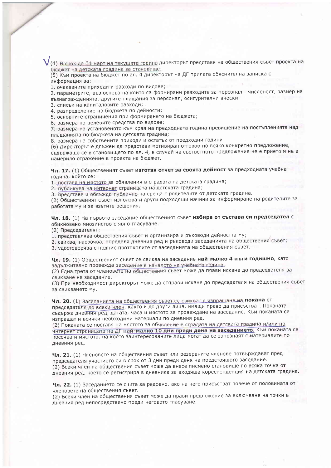(4) В срок до 31 март на текущата година директорът представя на обществения съвет проекта на бюджет на детската градина за становище.

(5) Към проекта на бюджет по ал. 4 директорът на ДГ прилага обяснителна записка с информация за:

1. очакваните приходи и разходи по видове;

2. параметрите, въз основа на които са формирани разходите за персонал - численост, размер на възнагражденията, другите плащания за персонал, осигурителни вноски;

3. списък на капиталовите разходи;

4. разпределение на бюджета по дейности;

5. основните ограничения при формирането на бюджета;

6. размера на целевите средства по видове;

7. размера на установеното към края на предходната година превишение на постъпленията над плащанията по бюджета на детската градина;

8. размера на собствените приходи и остатък от предходни години

(6) Директорът е длъжен да представи мотивиран отговор по всяко конкретно предложение, съдържащо се в становището по ал. 4, в случай че съответното предложение не е прието и не е намерило отражение в проекта на бюджет.

Чл. 17. (1) Общественият съвет изготвя отчет за своята дейност за предходната учебна година, който се:

1. поставя на мястото за обявления в сградата на детската градина;

2. публикува на интернет страницата на детската градина;

3. представя и обсъжда публично на среща с родителите от детската градина.

(2) Общественият съвет използва и други подходящи начини за информиране на родителите за работата му и за взетите решения.

Чл. 18. (1) На първото заседание общественият съвет избира от състава си председател с обикновено мнозинство с явно гласуване.

(2) Председателят:

1. представлява обществения съвет и организира и ръководи дейността му;

2. свиква, насрочва, определя дневния ред и ръководи заседанията на обществения съвет;

3. удостоверява с подпис протоколите от заседанията на обществения съвет.

Чл. 19. (1) Общественият съвет се свиква на заседание най-малко 4 пъти годишно, като залължително провежда заседание в началото на учебната година.

(2) Една трета от членовете на обществения съвет може да прави искане до председателя за свикване на заседание.

(3) При необходимост директорът може да отправи искане до председателя на обществения съвет за свикването му.

Чл. 20. (1) Заседанията на обществения съвет се свикват с изпращане на покана от председателя до всеки член, както и до други лица, имащи право да присъстват. Поканата съдържа дневния ред, датата, часа и мястото за провеждане на заседание. Към поканата се изпращат и всички необходими материали по дневния ред.

(2) Поканата се поставя на мястото за обявление в сградата на детската градина и/или на интернет страницата на ДГ най-малко 10 дни преди деня на заседанието. Към поканата се посочва и мястото, на което заинтересованите лица могат да се запознаят с материалите по дневния ред.

Чл. 21. (1) Членовете на обществения съвет или резервните членове потвърждават пред председателя участието си в срок от 3 дни преди деня на предстоящото заседание. (2) Всеки член на обществения съвет може да внесе писмено становище по всяка точка от дневния ред, което се регистрира в дневника за входяща кореспонденция на детската градина.

Чл. 22. (1) Заседанието се счита за редовно, ако на него присъстват повече от половината от членовете на обществения съвет.

(2) Всеки член на обществения съвет може да прави предложение за включване на точки в дневния ред непосредствено преди неговото гласуване.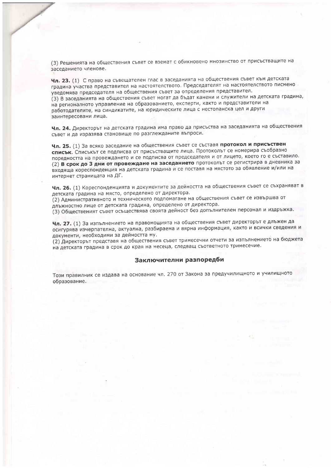(3) Решенията на обществения съвет се вземат с обикновено мнозинство от присъстващите на заседанието членове.

Чл. 23. (1) С право на съвещателен глас в заседанията на обществения съвет към детската градина участва представител на настоятелството. Председателят на настоятелството писмено уведомява председателя на обществения съвет за определения представител. (3) В заседанията на обществения съвет могат да бъдат канени и служители на детската градина, на регионалното управление на образованието, експерти, както и представители на работодателите, на синдикатите, на юридическите лица с нестопанска цел и други заинтересовани лица.

Чл. 24. Директорът на детската градина има право да присъства на заседанията на обществения съвет и да изразява становище по разглежданите въпроси.

Чл. 25. (1) За всяко заседание на обществения съвет се съставя протокол и присъствен списък. Списъкът се подписва от присъстващите лица. Протоколът се номерира съобразно поредността на провеждането и се подписва от председателя и от лицето, което го е съставило. (2) В срок до 3 дни от провеждане на заседанието протоколът се регистрира в дневника за входяща кореспонденция на детската градина и се поставя на мястото за обявление и/или на интернет страницата на ДГ.

Чл. 26. (1) Кореспонденцията и документите за дейността на обществения съвет се съхраняват в детската градина на място, определено от директора.

(2) Административното и техническото подпомагане на обществения съвет се извършва от длъжностно лице от детската градина, определено от директора.

(3) Общественият съвет осъществява своята дейност без допълнителен персонал и издръжка.

Чл. 27. (1) За изпълнението на правомощията на обществения съвет директорът е длъжен да осигурява изчерпателна, актуална, разбираема и вярна информация, както и всички сведения и документи, необходими за дейността му.

(2) Директорът представя на обществения съвет тримесечни отчети за изпълнението на бюджета на детската градина в срок до края на месеца, следващ съответното тримесечие.

## Заключителни разпоредби

Този правилник се издава на основание чл. 270 от Закона за предучилищното и училищното образование.